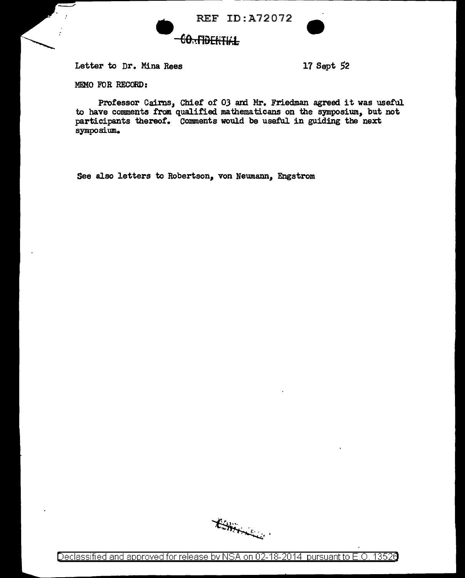



Letter to Dr. Mina Rees 17 Sept 52

MEMO FUR RECORD:

Professor Cairns, Chief of 03 and Mr. Friedman agreed it was useful to have comments from qualified mathematicans on the symposium, but not participants thereof. Comments would be useful in guiding the next symposium.

See also letters to Robertson, von Neumann, Engstrom

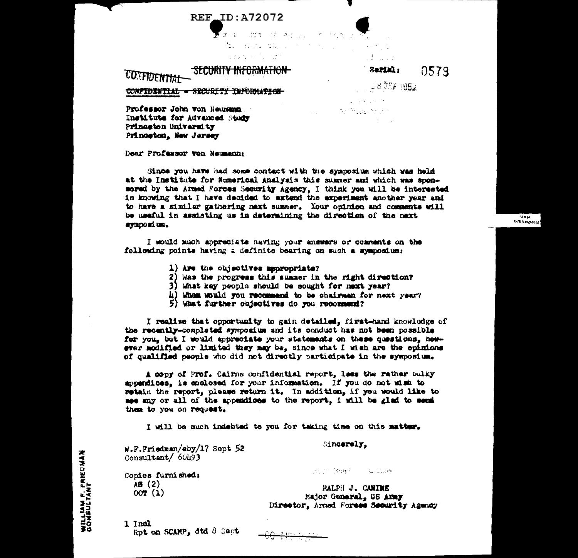## **REF\_ID:A72072**

and dealers  $\mathcal{L}_{\mathcal{D} \times \mathcal{L}}$ المستخدم المستخدم المستخدم المستخدم المستخدم المستخدم المستخدم المستخدم المستخدم المستخدم المستخدم المستخدم ال<br>والمستخدم المستخدم المستخدم المستخدم المستخدم المستخدم المستخدم المستخدم المستخدم المستخدم المستخدم المستخدم ا  $\mathcal{L}(\mathbf{y},\mathbf{y})$  and  $\mathcal{L}(\mathbf{y},\mathbf{y})$  . The set of  $\mathbf{y}$ **100 年 100 元 1** 

## **SECURITY INFORMATION-CONFIDENTIAL**

#### Sarial: 0579

 $\sqrt{2}$ NEUMARN

 $1.835F1952$ 

in a consta

CONFIDENTIAL - SECURITY THRONHATICH

 $\mathcal{L}^{\text{max}}$  and  $\mathcal{L}^{\text{max}}$  and  $\mathcal{L}^{\text{max}}$ **Contract of the Media Marshall** 

Professor John von Neumann Institute for Advanced Study Prinaeton University Princeton, New Jersey

Dear Professor von Neumann:

Since you have had some contact with the symposium which was held at the Institute for Numerical Analysis this summer and which was sponsored by the Armed Forces Security Agency, I think you will be interested in knowing that I have decided to extend the experiment another year and to have a similar gathering next summer. Your opinion and comments will be useful in assisting us in determining the direction of the next synposium.

I would much appreciate naving your answers or comments on the following points having a definite bearing on such a symposium:

- 1) Are the objectives appropriate?
- 2) Was the progress this summer in the right direction?
- 3) What key people should be sought for mext year?
- 4) When would you recommend to be chairmen for next year?
- 5) What further objectives do you recommend?

I realise that opportunity to gain detailed, first-hand knowledge of the recently-completed symposium and its conduct has not been possible for you, but I would appreciate your statements on these questions, however modified or limited they may be, since what I wish are the opinions of qualified people who did not directly participate in the symposium.

A copy of Prof. Cairns confidential report. less the rather bulky appandices, is enclosed for your information. If you do not wish to retain the report, please return it. In addition, if you would like to see any or all of the appendices to the report, I will be glad to send them to you on request.

I will be much indebted to you for taking time on this matter.

 $W.F.Fridman/aby/17$  Sept 52 Consultant/ $60493$ 

Sincerely.

Sept Register Game

Copies furnished:  $AB(2)$  $00T(1)$ 

RALPH J. CANINE Major General. US Army Director, Armed Forces Security Agency

1 Incl Rot on SCAMP, dtd 8 Sept.